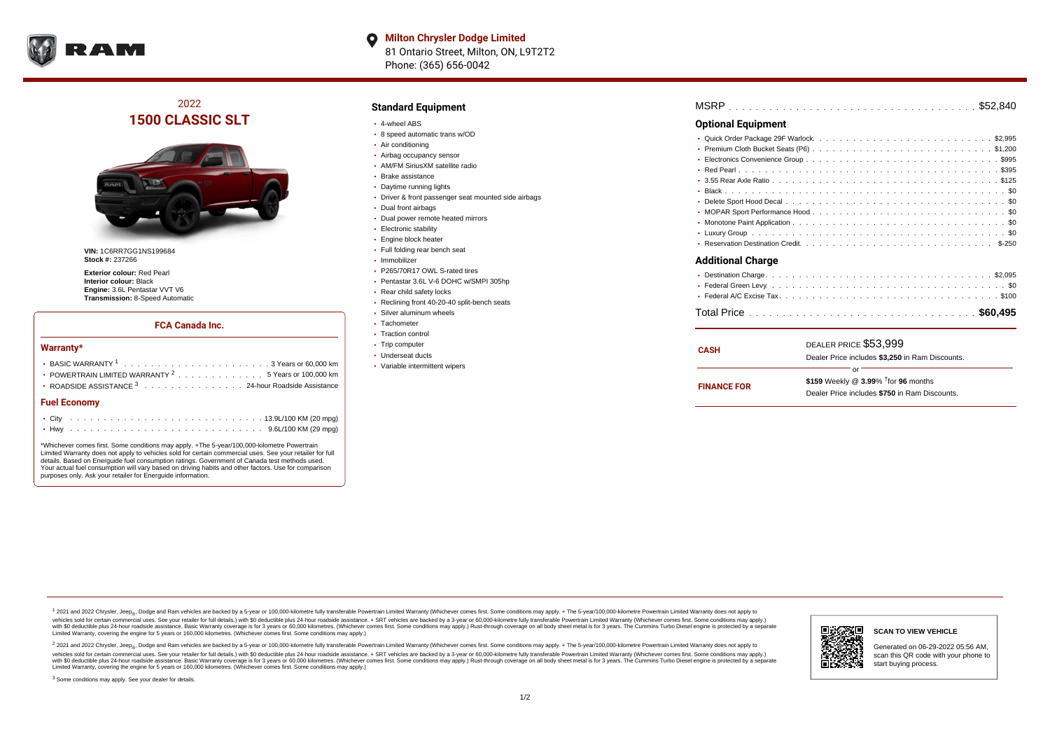

**Milton Chrysler Dodge Limited**  $\bullet$ 81 Ontario Street, Milton, ON, L9T2T2 Phone: (365) 656-0042

# 2022 **1500 CLASSIC SLT**



**VIN:** 1C6RR7GG1NS199684 **Stock #:** 237266

**Exterior colour:** Red Pearl **Interior colour:** Black **Engine:** 3.6L Pentastar VVT V6 **Transmission:** 8-Speed Automatic

#### **FCA Canada Inc.**

#### **Warranty\***

| • POWERTRAIN LIMITED WARRANTY $2, \ldots, \ldots, \ldots, \ldots, 5$ Years or 100,000 km<br>• ROADSIDE ASSISTANCE 3 24-hour Roadside Assistance |  |  |  |  |  |  |  |  |  |  |  |  |  |  |  |  |  |
|-------------------------------------------------------------------------------------------------------------------------------------------------|--|--|--|--|--|--|--|--|--|--|--|--|--|--|--|--|--|
| <b>Fuel Economy</b>                                                                                                                             |  |  |  |  |  |  |  |  |  |  |  |  |  |  |  |  |  |
|                                                                                                                                                 |  |  |  |  |  |  |  |  |  |  |  |  |  |  |  |  |  |
|                                                                                                                                                 |  |  |  |  |  |  |  |  |  |  |  |  |  |  |  |  |  |

\*Whichever comes first. Some conditions may apply. +The 5-year/100,000-kilometre Powertrain Limited Warranty does not apply to vehicles sold for certain commercial uses. See your retailer for full details. Based on Energuide fuel consumption ratings. Government of Canada test methods used. Your actual fuel consumption will vary based on driving habits and other factors. Use for comparison purposes only. Ask your retailer for Energuide information.

### **Standard Equipment**

- 4-wheel ABS
- 8 speed automatic trans w/OD
- Air conditioning
- Airbag occupancy sensor
- AM/FM SiriusXM satellite radio
- Brake assistance
- Daytime running lights
- Driver & front passenger seat mounted side airbags
- Dual front airbags
- Dual power remote heated mirrors
- Electronic stability
- Engine block heater
- Full folding rear bench seat
- · Immobilizer
- P265/70R17 OWL S-rated tires
- Pentastar 3.6L V-6 DOHC w/SMPI 305hp
- Rear child safety locks
- Reclining front 40-20-40 split-bench seats
- Silver aluminum wheels
- Tachometer • Traction control
- Trip computer
- Underseat ducts
- Variable intermittent wipers

| MSRP |  |  |  |  |  |  |  |  |  |  |  |  |  |  |  |  |  |  |  |  |
|------|--|--|--|--|--|--|--|--|--|--|--|--|--|--|--|--|--|--|--|--|
|      |  |  |  |  |  |  |  |  |  |  |  |  |  |  |  |  |  |  |  |  |

#### **Optional Equipment**

**FINANCE FOR**

|                          | or<br>the contract of the contract of the contract of |                                                 |  |  |  |  |  |  |  |  |  |  |  |  |
|--------------------------|-------------------------------------------------------|-------------------------------------------------|--|--|--|--|--|--|--|--|--|--|--|--|
|                          |                                                       | Dealer Price includes \$3,250 in Ram Discounts. |  |  |  |  |  |  |  |  |  |  |  |  |
| <b>CASH</b>              | DEALER PRICE \$53.999                                 |                                                 |  |  |  |  |  |  |  |  |  |  |  |  |
|                          |                                                       |                                                 |  |  |  |  |  |  |  |  |  |  |  |  |
|                          |                                                       |                                                 |  |  |  |  |  |  |  |  |  |  |  |  |
|                          |                                                       |                                                 |  |  |  |  |  |  |  |  |  |  |  |  |
| <b>Additional Charge</b> |                                                       |                                                 |  |  |  |  |  |  |  |  |  |  |  |  |
|                          |                                                       |                                                 |  |  |  |  |  |  |  |  |  |  |  |  |
|                          |                                                       |                                                 |  |  |  |  |  |  |  |  |  |  |  |  |
|                          |                                                       |                                                 |  |  |  |  |  |  |  |  |  |  |  |  |
|                          |                                                       |                                                 |  |  |  |  |  |  |  |  |  |  |  |  |
|                          |                                                       |                                                 |  |  |  |  |  |  |  |  |  |  |  |  |
|                          |                                                       |                                                 |  |  |  |  |  |  |  |  |  |  |  |  |
|                          |                                                       |                                                 |  |  |  |  |  |  |  |  |  |  |  |  |
|                          |                                                       |                                                 |  |  |  |  |  |  |  |  |  |  |  |  |
|                          |                                                       |                                                 |  |  |  |  |  |  |  |  |  |  |  |  |
|                          |                                                       |                                                 |  |  |  |  |  |  |  |  |  |  |  |  |

| \$159 Weekly @ $3.99\%$ <sup>†</sup> for 96 months |
|----------------------------------------------------|
| Dealer Price includes \$750 in Ram Discounts.      |

<sup>1</sup> 2021 and 2022 Chrysler, Jeep<sub>®</sub>, Dodge and Ram vehicles are backed by a 5-year or 100,000-kilometre fully transferable Powertrain Limited Warranty (Whichever comes first. Some conditions may apply. + The 5-year/100,000 vehicles sold for certain commercial uses. See your retailer for full details.) with \$0 deductible plus 24 hour roadside assistance. + SRT vehicles are backed by a 3-year or 60,000-kilometre fully transferable Powertrain L versus and contract the mean of the contract of the contract with a contract with a contract the contract of the contract of the contract the contract of the contract of the contract of the contract of the contract of the Limited Warranty, covering the engine for 5 years or 160,000 kilometres. (Whichever comes first. Some conditions may apply.)

2 2021 and 2022 Chrysler, Jeep<sub>®</sub>, Dodge and Ram vehicles are backed by a 5-year or 100,000-kilometre fully transferable Powertrain Limited Warranty (Whichever comes first. Some conditions may apply. + The 5-year/100,000-k vehicles sold for certain commercial uses. See your retailer for full details.) with SO deductible plus 24-hour roadside assistance. + SRT vehicles are backed by a 3-year or 60.000-kilometre fully transferable Powertrain. with S0 deductible plus 24-hour roadside assistance. Basic Warranty coverage is for 3 years or 60,000 kilometres. (Whichever comes first. Some conditions may apply.) Rust-through coverage on all body sheet metal is for 3 y

<sup>3</sup> Some conditions may apply. See your dealer for details.



Generated on 06-29-2022 05:56 AM, scan this QR code with your phone to start buying process.